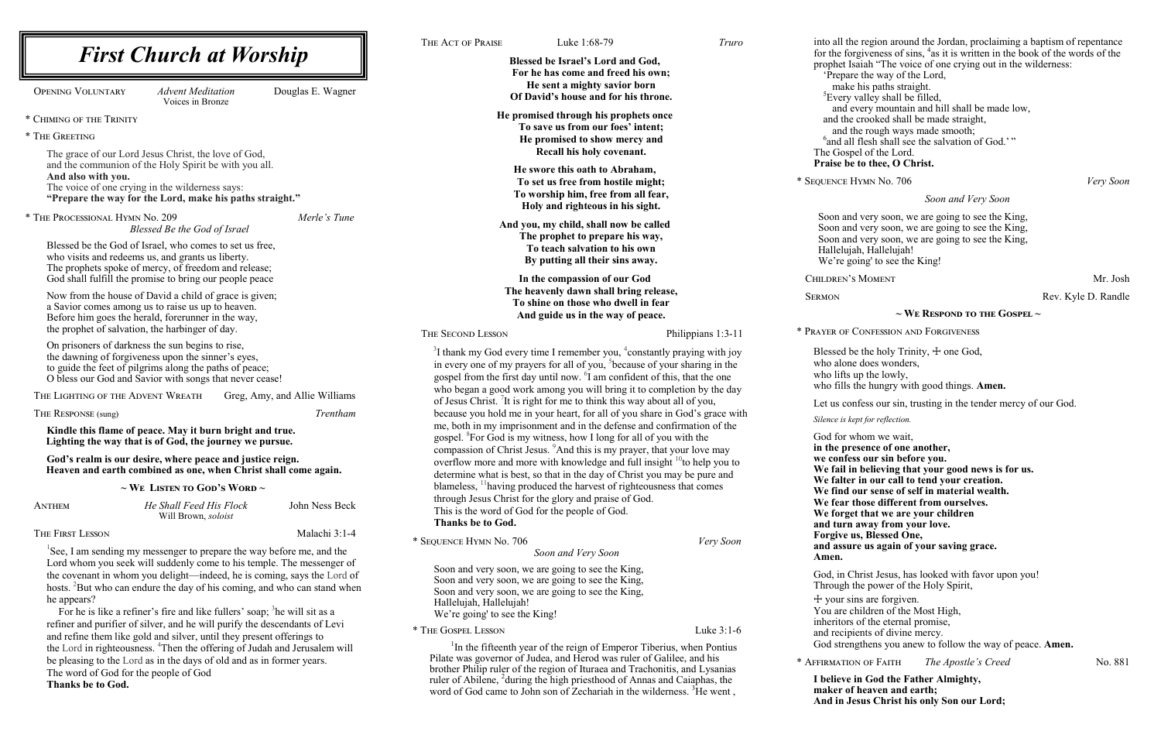**I God the Father Almighty, maker of heaven and earth; And in Jesus Christ his only Son our Lord;** 

*Soon and Very Soon*

very soon, we are going to see the King, very soon, we are going to see the King, very soon, we are going to see the King, h, Hallelujah! ing' to see the King!

Moment Mr. Josh

Rev. Kyle D. Randle

#### **~ We Respond to the Gospel ~**

'ONFESSION AND FORGIVENESS

the holy Trinity,  $\pm$  one God, does wonders, p the lowly, ne hungry with good things. Amen.

fess our sin, trusting in the tender mercy of our God.

*for reflection.* 

hom we wait,

**in the presence of one another, we confere you.** believing that your good news is for us. in our call to tend your creation. **We find our sense of self in material wealth. nose different from ourselves. that we are your children away from your love. , Blessed One, us again of your saving grace.** 

In God, has looked with favor upon you! ne power of the Holy Spirit, ☩ your sins are forgiven. ildren of the Most High, of the eternal promise, ents of divine mercy. thens you anew to follow the way of peace. **Amen.** 

 $\text{OF} \text{ FAITH}$  *The Apostle's Creed* No. 881

| <b>First Church at Worship</b>                                                                                                                                    |                                                                                                                                                  | THE ACT OF PRAISE                                                                                                                                                | Luke 1:68-79                                                                                                                                                        | Truro                                                                                                                                                                | into all the                            |                              |
|-------------------------------------------------------------------------------------------------------------------------------------------------------------------|--------------------------------------------------------------------------------------------------------------------------------------------------|------------------------------------------------------------------------------------------------------------------------------------------------------------------|---------------------------------------------------------------------------------------------------------------------------------------------------------------------|----------------------------------------------------------------------------------------------------------------------------------------------------------------------|-----------------------------------------|------------------------------|
|                                                                                                                                                                   |                                                                                                                                                  |                                                                                                                                                                  | Blessed be Israel's Lord and God,<br>For he has come and freed his own;                                                                                             |                                                                                                                                                                      | for the forg<br>prophet Isa<br>'Prepare |                              |
| <b>OPENING VOLUNTARY</b>                                                                                                                                          | <b>Advent Meditation</b><br>Voices in Bronze                                                                                                     | Douglas E. Wagner                                                                                                                                                | He sent a mighty savior born<br>Of David's house and for his throne.                                                                                                |                                                                                                                                                                      |                                         | make h<br>${}^{5}$ Every va  |
| * CHIMING OF THE TRINITY                                                                                                                                          |                                                                                                                                                  |                                                                                                                                                                  |                                                                                                                                                                     | He promised through his prophets once                                                                                                                                |                                         | and eve<br>and the c         |
| * THE GREETING                                                                                                                                                    |                                                                                                                                                  |                                                                                                                                                                  |                                                                                                                                                                     | To save us from our foes' intent;<br>He promised to show mercy and                                                                                                   |                                         | and the<br>$6$ and all f     |
|                                                                                                                                                                   | The grace of our Lord Jesus Christ, the love of God,                                                                                             |                                                                                                                                                                  |                                                                                                                                                                     | Recall his holy covenant.                                                                                                                                            |                                         | The Gospel                   |
| And also with you.                                                                                                                                                | and the communion of the Holy Spirit be with you all.                                                                                            |                                                                                                                                                                  | He swore this oath to Abraham,                                                                                                                                      | Praise be t<br>* SEQUENCE HY                                                                                                                                         |                                         |                              |
| The voice of one crying in the wilderness says:<br>"Prepare the way for the Lord, make his paths straight."                                                       |                                                                                                                                                  |                                                                                                                                                                  | To set us free from hostile might;<br>To worship him, free from all fear,<br>Holy and righteous in his sight.                                                       |                                                                                                                                                                      |                                         |                              |
| * THE PROCESSIONAL HYMN No. 209                                                                                                                                   | Blessed Be the God of Israel                                                                                                                     | Merle's Tune                                                                                                                                                     | And you, my child, shall now be called<br>The prophet to prepare his way,<br>To teach salvation to his own<br>By putting all their sins away.                       |                                                                                                                                                                      | Soon and<br>Soon and                    |                              |
|                                                                                                                                                                   | Blessed be the God of Israel, who comes to set us free,                                                                                          |                                                                                                                                                                  |                                                                                                                                                                     |                                                                                                                                                                      | Soon and<br>Hallelujah                  |                              |
|                                                                                                                                                                   | who visits and redeems us, and grants us liberty.<br>The prophets spoke of mercy, of freedom and release;                                        |                                                                                                                                                                  |                                                                                                                                                                     |                                                                                                                                                                      | We're goin                              |                              |
| God shall fulfill the promise to bring our people peace                                                                                                           |                                                                                                                                                  |                                                                                                                                                                  | In the compassion of our God<br>The heavenly dawn shall bring release,<br>To shine on those who dwell in fear<br>And guide us in the way of peace.                  |                                                                                                                                                                      | CHILDREN'S                              |                              |
| Now from the house of David a child of grace is given;<br>a Savior comes among us to raise us up to heaven.                                                       |                                                                                                                                                  |                                                                                                                                                                  |                                                                                                                                                                     |                                                                                                                                                                      | <b>SERMON</b>                           |                              |
|                                                                                                                                                                   | Before him goes the herald, forerunner in the way,<br>the prophet of salvation, the harbinger of day.                                            |                                                                                                                                                                  | THE SECOND LESSON                                                                                                                                                   |                                                                                                                                                                      | Philippians 1:3-11                      | * PRAYER OF CO               |
| On prisoners of darkness the sun begins to rise,<br>the dawning of forgiveness upon the sinner's eyes,<br>to guide the feet of pilgrims along the paths of peace; |                                                                                                                                                  |                                                                                                                                                                  |                                                                                                                                                                     | $3$ I thank my God every time I remember you, $4$ constantly praying with joy                                                                                        |                                         | Blessed be                   |
|                                                                                                                                                                   |                                                                                                                                                  |                                                                                                                                                                  |                                                                                                                                                                     | in every one of my prayers for all of you, <sup>5</sup> because of your sharing in the                                                                               |                                         | who alone<br>who lifts up    |
| O bless our God and Savior with songs that never cease!<br>THE LIGHTING OF THE ADVENT WREATH<br>Greg, Amy, and Allie Williams                                     |                                                                                                                                                  | gospel from the first day until now. <sup>6</sup> I am confident of this, that the one<br>who began a good work among you will bring it to completion by the day |                                                                                                                                                                     | who fills th                                                                                                                                                         |                                         |                              |
| THE RESPONSE (sung)                                                                                                                                               |                                                                                                                                                  | Trentham                                                                                                                                                         |                                                                                                                                                                     | of Jesus Christ. <sup>7</sup> It is right for me to think this way about all of you,<br>because you hold me in your heart, for all of you share in God's grace with  |                                         | Let us conf                  |
|                                                                                                                                                                   |                                                                                                                                                  |                                                                                                                                                                  |                                                                                                                                                                     | me, both in my imprisonment and in the defense and confirmation of the                                                                                               |                                         | Silence is kept              |
| Kindle this flame of peace. May it burn bright and true.<br>Lighting the way that is of God, the journey we pursue.                                               |                                                                                                                                                  |                                                                                                                                                                  |                                                                                                                                                                     | gospel. <sup>8</sup> For God is my witness, how I long for all of you with the<br>compassion of Christ Jesus. <sup>9</sup> And this is my prayer, that your love may |                                         | God for wh<br>in the pres    |
| God's realm is our desire, where peace and justice reign.<br>Heaven and earth combined as one, when Christ shall come again.                                      |                                                                                                                                                  |                                                                                                                                                                  |                                                                                                                                                                     | overflow more and more with knowledge and full insight <sup>to</sup> to help you to                                                                                  |                                         | we confess                   |
|                                                                                                                                                                   |                                                                                                                                                  |                                                                                                                                                                  | determine what is best, so that in the day of Christ you may be pure and<br>blameless, <sup>11</sup> having produced the harvest of righteousness that comes        |                                                                                                                                                                      | We fail in<br>We falter i               |                              |
| $\sim$ We Listen to God's Word $\sim$                                                                                                                             |                                                                                                                                                  |                                                                                                                                                                  |                                                                                                                                                                     | through Jesus Christ for the glory and praise of God.                                                                                                                |                                         | We find ou<br>We fear th     |
| <b>ANTHEM</b>                                                                                                                                                     | He Shall Feed His Flock<br>Will Brown, soloist                                                                                                   | John Ness Beck                                                                                                                                                   | Thanks be to God.                                                                                                                                                   | This is the word of God for the people of God.                                                                                                                       |                                         | We forget                    |
| THE FIRST LESSON                                                                                                                                                  |                                                                                                                                                  | Malachi 3:1-4                                                                                                                                                    | * SEQUENCE HYMN No. 706                                                                                                                                             |                                                                                                                                                                      | Very Soon                               | and turn a<br>Forgive us.    |
|                                                                                                                                                                   | ${}^{1}$ See, I am sending my messenger to prepare the way before me, and the                                                                    |                                                                                                                                                                  |                                                                                                                                                                     | Soon and Very Soon                                                                                                                                                   |                                         | and assure<br>Amen.          |
|                                                                                                                                                                   | Lord whom you seek will suddenly come to his temple. The messenger of<br>the covenant in whom you delight—indeed, he is coming, says the Lord of |                                                                                                                                                                  |                                                                                                                                                                     | Soon and very soon, we are going to see the King,                                                                                                                    |                                         | God, in Chi                  |
| hosts. <sup>2</sup> But who can endure the day of his coming, and who can stand when                                                                              |                                                                                                                                                  |                                                                                                                                                                  |                                                                                                                                                                     | Soon and very soon, we are going to see the King,<br>Soon and very soon, we are going to see the King,                                                               |                                         | Through the                  |
| he appears?<br>For he is like a refiner's fire and like fullers' soap; <sup>3</sup> he will sit as a                                                              |                                                                                                                                                  |                                                                                                                                                                  | Hallelujah, Hallelujah!                                                                                                                                             |                                                                                                                                                                      |                                         | $+$ your sins<br>You are chi |
| refiner and purifier of silver, and he will purify the descendants of Levi                                                                                        |                                                                                                                                                  |                                                                                                                                                                  | We're going' to see the King!                                                                                                                                       |                                                                                                                                                                      |                                         | inheritors o                 |
| and refine them like gold and silver, until they present offerings to                                                                                             |                                                                                                                                                  |                                                                                                                                                                  | * THE GOSPEL LESSON                                                                                                                                                 | In the fifteenth year of the reign of Emperor Tiberius, when Pontius                                                                                                 | Luke 3:1-6                              | and recipier<br>God strengt  |
| the Lord in righteousness. <sup>4</sup> Then the offering of Judah and Jerusalem will<br>be pleasing to the Lord as in the days of old and as in former years.    |                                                                                                                                                  |                                                                                                                                                                  |                                                                                                                                                                     | Pilate was governor of Judea, and Herod was ruler of Galilee, and his                                                                                                |                                         | * AFFIRMATION                |
| The word of God for the people of God<br>Thanks he to Cod                                                                                                         |                                                                                                                                                  |                                                                                                                                                                  | brother Philip ruler of the region of Ituraea and Trachonitis, and Lysanias<br>ruler of Abilene, <sup>2</sup> during the high priesthood of Annas and Caiaphas, the |                                                                                                                                                                      | I believe in                            |                              |

word of God came to John son of Zechariah in the wilderness. <sup>3</sup>He went,

**Thanks be to God.**

region around the Jordan, proclaiming a baptism of repentance for the forgiveness of sins,  $4a$  it is written in the book of the words of the iah "The voice of one crying out in the wilderness:

the way of the Lord,

his paths straight.

alley shall be filled,

very mountain and hill shall be made low,

crooked shall be made straight,

e rough ways made smooth;

flesh shall see the salvation of God.'"

I of the Lord.

#### to thee, O Christ.

 $Y_{\ell}$  Soon *Very Soon*